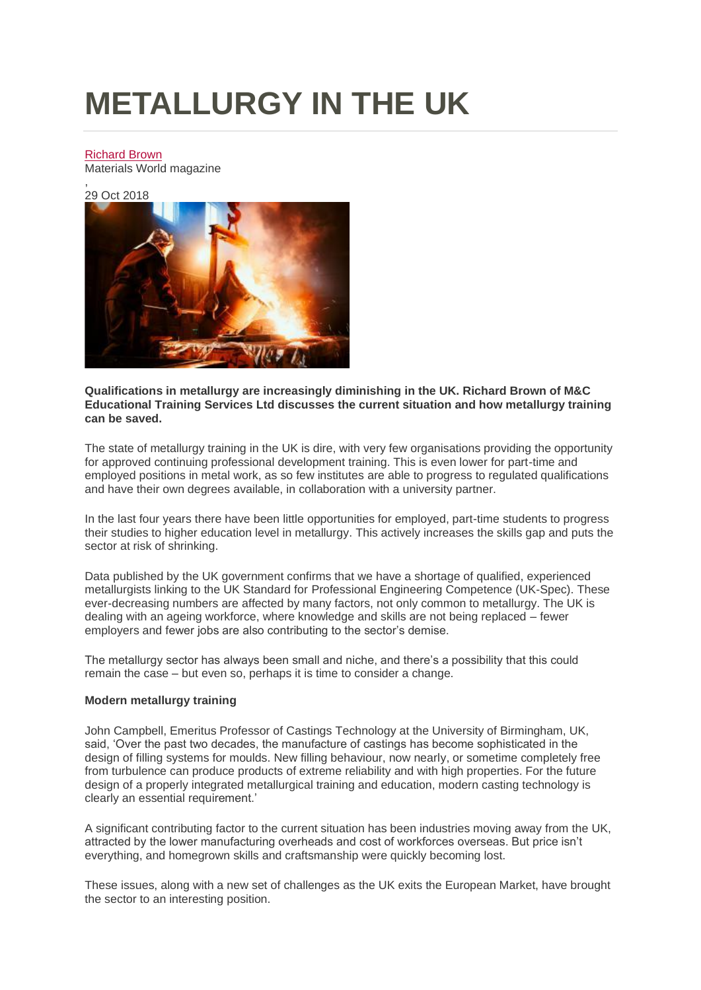# **METALLURGY IN THE UK**

## [Richard Brown](https://www.iom3archive.org.uk/authors/richard-brown)

Materials World magazine

, 29 Oct 2018



**Qualifications in metallurgy are increasingly diminishing in the UK. Richard Brown of M&C Educational Training Services Ltd discusses the current situation and how metallurgy training can be saved.**

The state of metallurgy training in the UK is dire, with very few organisations providing the opportunity for approved continuing professional development training. This is even lower for part-time and employed positions in metal work, as so few institutes are able to progress to regulated qualifications and have their own degrees available, in collaboration with a university partner.

In the last four years there have been little opportunities for employed, part-time students to progress their studies to higher education level in metallurgy. This actively increases the skills gap and puts the sector at risk of shrinking.

Data published by the UK government confirms that we have a shortage of qualified, experienced metallurgists linking to the UK Standard for Professional Engineering Competence (UK-Spec). These ever-decreasing numbers are affected by many factors, not only common to metallurgy. The UK is dealing with an ageing workforce, where knowledge and skills are not being replaced – fewer employers and fewer jobs are also contributing to the sector's demise.

The metallurgy sector has always been small and niche, and there's a possibility that this could remain the case – but even so, perhaps it is time to consider a change.

## **Modern metallurgy training**

John Campbell, Emeritus Professor of Castings Technology at the University of Birmingham, UK, said, 'Over the past two decades, the manufacture of castings has become sophisticated in the design of filling systems for moulds. New filling behaviour, now nearly, or sometime completely free from turbulence can produce products of extreme reliability and with high properties. For the future design of a properly integrated metallurgical training and education, modern casting technology is clearly an essential requirement.'

A significant contributing factor to the current situation has been industries moving away from the UK, attracted by the lower manufacturing overheads and cost of workforces overseas. But price isn't everything, and homegrown skills and craftsmanship were quickly becoming lost.

These issues, along with a new set of challenges as the UK exits the European Market, have brought the sector to an interesting position.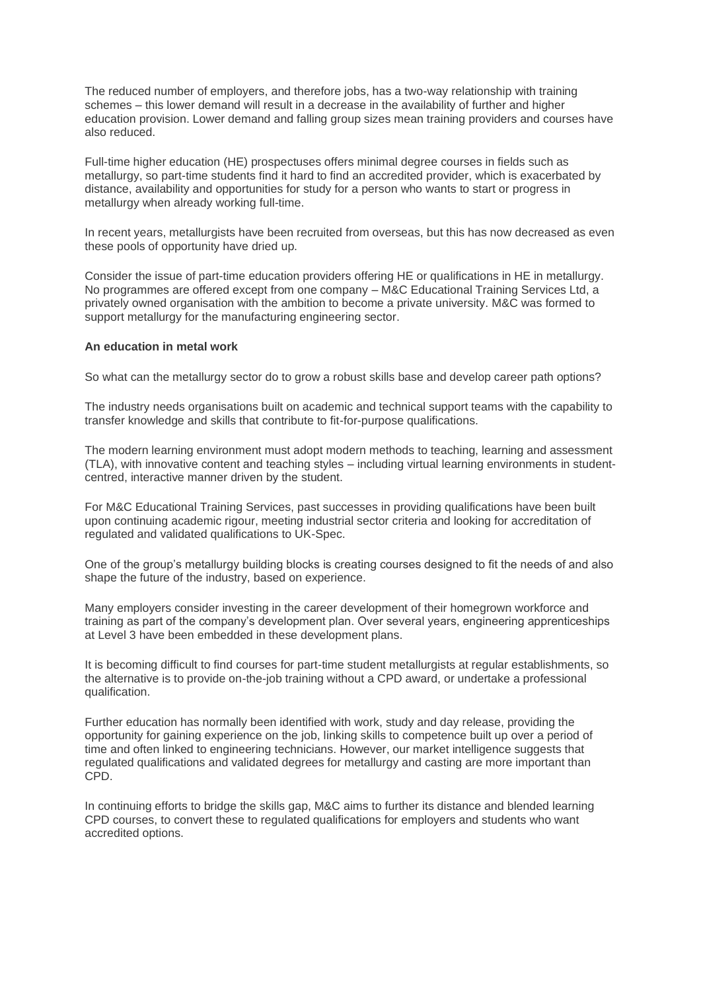The reduced number of employers, and therefore jobs, has a two-way relationship with training schemes – this lower demand will result in a decrease in the availability of further and higher education provision. Lower demand and falling group sizes mean training providers and courses have also reduced.

Full-time higher education (HE) prospectuses offers minimal degree courses in fields such as metallurgy, so part-time students find it hard to find an accredited provider, which is exacerbated by distance, availability and opportunities for study for a person who wants to start or progress in metallurgy when already working full-time.

In recent years, metallurgists have been recruited from overseas, but this has now decreased as even these pools of opportunity have dried up.

Consider the issue of part-time education providers offering HE or qualifications in HE in metallurgy. No programmes are offered except from one company – M&C Educational Training Services Ltd, a privately owned organisation with the ambition to become a private university. M&C was formed to support metallurgy for the manufacturing engineering sector.

#### **An education in metal work**

So what can the metallurgy sector do to grow a robust skills base and develop career path options?

The industry needs organisations built on academic and technical support teams with the capability to transfer knowledge and skills that contribute to fit-for-purpose qualifications.

The modern learning environment must adopt modern methods to teaching, learning and assessment (TLA), with innovative content and teaching styles – including virtual learning environments in studentcentred, interactive manner driven by the student.

For M&C Educational Training Services, past successes in providing qualifications have been built upon continuing academic rigour, meeting industrial sector criteria and looking for accreditation of regulated and validated qualifications to UK-Spec.

One of the group's metallurgy building blocks is creating courses designed to fit the needs of and also shape the future of the industry, based on experience.

Many employers consider investing in the career development of their homegrown workforce and training as part of the company's development plan. Over several years, engineering apprenticeships at Level 3 have been embedded in these development plans.

It is becoming difficult to find courses for part-time student metallurgists at regular establishments, so the alternative is to provide on-the-job training without a CPD award, or undertake a professional qualification.

Further education has normally been identified with work, study and day release, providing the opportunity for gaining experience on the job, linking skills to competence built up over a period of time and often linked to engineering technicians. However, our market intelligence suggests that regulated qualifications and validated degrees for metallurgy and casting are more important than CPD.

In continuing efforts to bridge the skills gap, M&C aims to further its distance and blended learning CPD courses, to convert these to regulated qualifications for employers and students who want accredited options.